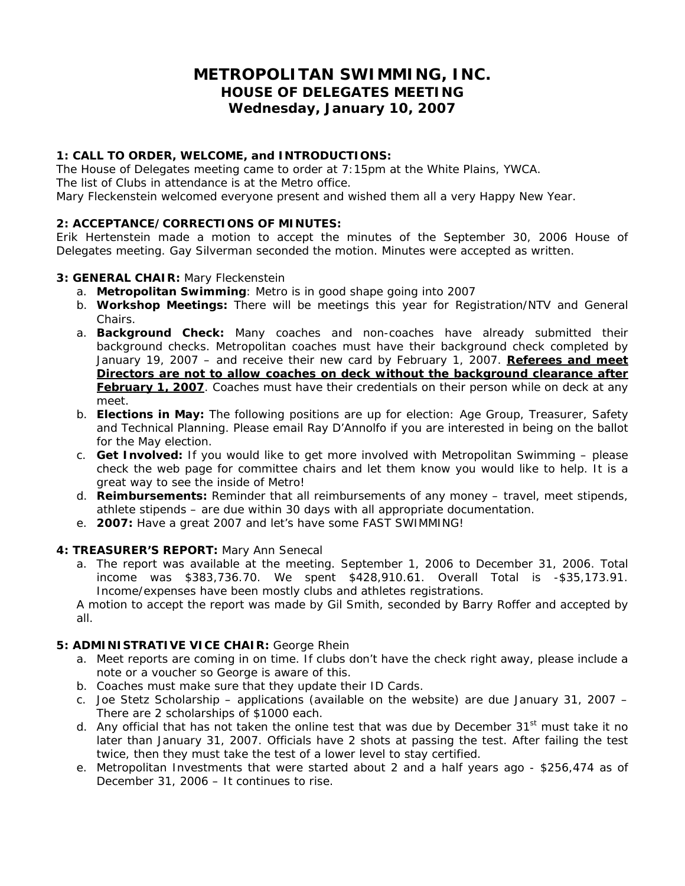# **METROPOLITAN SWIMMING, INC. HOUSE OF DELEGATES MEETING Wednesday, January 10, 2007**

# **1: CALL TO ORDER, WELCOME, and INTRODUCTIONS:**

The House of Delegates meeting came to order at 7:15pm at the White Plains, YWCA. The list of Clubs in attendance is at the Metro office. Mary Fleckenstein welcomed everyone present and wished them all a very Happy New Year.

# **2: ACCEPTANCE/CORRECTIONS OF MINUTES:**

Erik Hertenstein made a motion to accept the minutes of the September 30, 2006 House of Delegates meeting. Gay Silverman seconded the motion. Minutes were accepted as written.

#### **3: GENERAL CHAIR:** Mary Fleckenstein

- a. **Metropolitan Swimming**: Metro is in good shape going into 2007
- b. **Workshop Meetings:** There will be meetings this year for Registration/NTV and General Chairs.
- a. **Background Check:** Many coaches and non-coaches have already submitted their background checks. Metropolitan coaches must have their background check completed by January 19, 2007 – and receive their new card by February 1, 2007. *Referees and meet Directors are not to allow coaches on deck without the background clearance after*  **February 1, 2007**. Coaches must have their credentials on their person while on deck at any meet.
- b. **Elections in May:** The following positions are up for election: Age Group, Treasurer, Safety and Technical Planning. Please email Ray D'Annolfo if you are interested in being on the ballot for the May election.
- c. **Get Involved:** If you would like to get more involved with Metropolitan Swimming please check the web page for committee chairs and let them know you would like to help. It is a great way to see the inside of Metro!
- d. **Reimbursements:** Reminder that all reimbursements of any money travel, meet stipends, athlete stipends – are due within 30 days with all appropriate documentation.
- e. **2007:** Have a great 2007 and let's have some FAST SWIMMING!

#### **4: TREASURER'S REPORT:** Mary Ann Senecal

a. The report was available at the meeting. September 1, 2006 to December 31, 2006. Total income was \$383,736.70. We spent \$428,910.61. Overall Total is -\$35,173.91. Income/expenses have been mostly clubs and athletes registrations.

A motion to accept the report was made by Gil Smith, seconded by Barry Roffer and accepted by all.

#### **5: ADMINISTRATIVE VICE CHAIR:** George Rhein

- a. Meet reports are coming in on time. If clubs don't have the check right away, please include a note or a voucher so George is aware of this.
- b. Coaches must make sure that they update their ID Cards.
- c. Joe Stetz Scholarship applications (available on the website) are due January 31, 2007 There are 2 scholarships of \$1000 each.
- d. Any official that has not taken the online test that was due by December 31<sup>st</sup> must take it no later than January 31, 2007. Officials have 2 shots at passing the test. After failing the test twice, then they must take the test of a lower level to stay certified.
- e. Metropolitan Investments that were started about 2 and a half years ago \$256,474 as of December 31, 2006 – It continues to rise.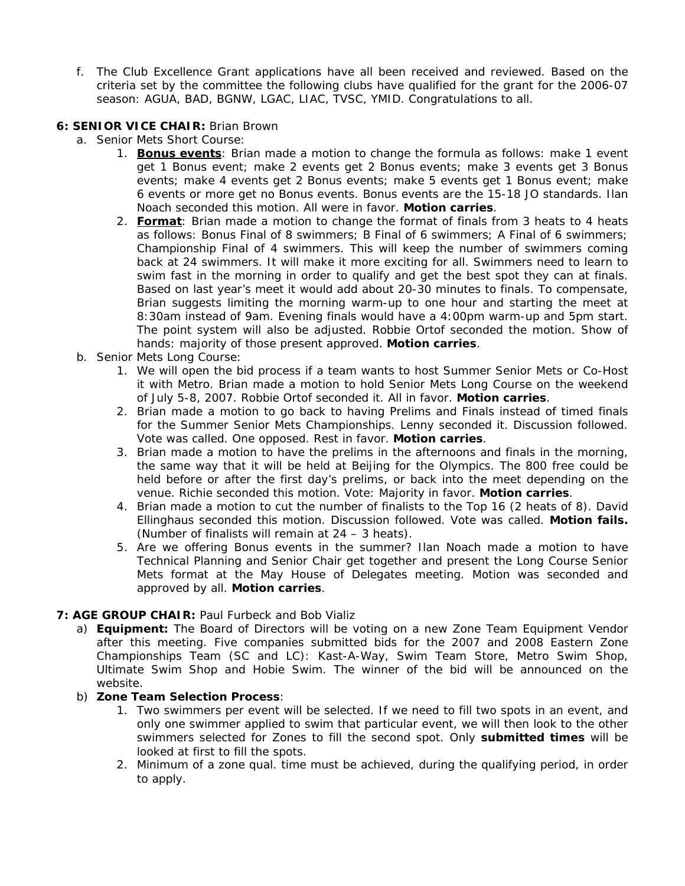f. The Club Excellence Grant applications have all been received and reviewed. Based on the criteria set by the committee the following clubs have qualified for the grant for the 2006-07 season: AGUA, BAD, BGNW, LGAC, LIAC, TVSC, YMID. Congratulations to all.

### **6: SENIOR VICE CHAIR:** Brian Brown

- a. Senior Mets Short Course:
	- 1. **Bonus events**: Brian made a motion to change the formula as follows: make 1 event get 1 Bonus event; make 2 events get 2 Bonus events; make 3 events get 3 Bonus events; make 4 events get 2 Bonus events; make 5 events get 1 Bonus event; make 6 events or more get no Bonus events. Bonus events are the 15-18 JO standards. Ilan Noach seconded this motion. All were in favor. **Motion carries**.
	- 2. **Format**: Brian made a motion to change the format of finals from 3 heats to 4 heats as follows: Bonus Final of 8 swimmers; B Final of 6 swimmers; A Final of 6 swimmers; Championship Final of 4 swimmers. This will keep the number of swimmers coming back at 24 swimmers. It will make it more exciting for all. Swimmers need to learn to swim fast in the morning in order to qualify and get the best spot they can at finals. Based on last year's meet it would add about 20-30 minutes to finals. To compensate, Brian suggests limiting the morning warm-up to one hour and starting the meet at 8:30am instead of 9am. Evening finals would have a 4:00pm warm-up and 5pm start. The point system will also be adjusted. Robbie Ortof seconded the motion. Show of hands: majority of those present approved. **Motion carries**.
- b. Senior Mets Long Course:
	- 1. We will open the bid process if a team wants to host Summer Senior Mets or Co-Host it with Metro. Brian made a motion to hold Senior Mets Long Course on the weekend of July 5-8, 2007. Robbie Ortof seconded it. All in favor. **Motion carries**.
	- 2. Brian made a motion to go back to having Prelims and Finals instead of timed finals for the Summer Senior Mets Championships. Lenny seconded it. Discussion followed. Vote was called. One opposed. Rest in favor. **Motion carries**.
	- 3. Brian made a motion to have the prelims in the afternoons and finals in the morning, the same way that it will be held at Beijing for the Olympics. The 800 free could be held before or after the first day's prelims, or back into the meet depending on the venue. Richie seconded this motion. Vote: Majority in favor. **Motion carries**.
	- 4. Brian made a motion to cut the number of finalists to the Top 16 (2 heats of 8). David Ellinghaus seconded this motion. Discussion followed. Vote was called. **Motion fails.** (Number of finalists will remain at 24 – 3 heats).
	- 5. Are we offering Bonus events in the summer? Ilan Noach made a motion to have Technical Planning and Senior Chair get together and present the Long Course Senior Mets format at the May House of Delegates meeting. Motion was seconded and approved by all. **Motion carries**.

# **7: AGE GROUP CHAIR:** Paul Furbeck and Bob Vializ

a) **Equipment:** The Board of Directors will be voting on a new Zone Team Equipment Vendor after this meeting. Five companies submitted bids for the 2007 and 2008 Eastern Zone Championships Team (SC and LC): Kast-A-Way, Swim Team Store, Metro Swim Shop, Ultimate Swim Shop and Hobie Swim. The winner of the bid will be announced on the website.

#### b) **Zone Team Selection Process**:

- 1. Two swimmers per event will be selected. If we need to fill two spots in an event, and only one swimmer applied to swim that particular event, we will then look to the other swimmers selected for Zones to fill the second spot. Only **submitted times** will be looked at first to fill the spots.
- 2. Minimum of a zone qual. time must be achieved, during the qualifying period, in order to apply.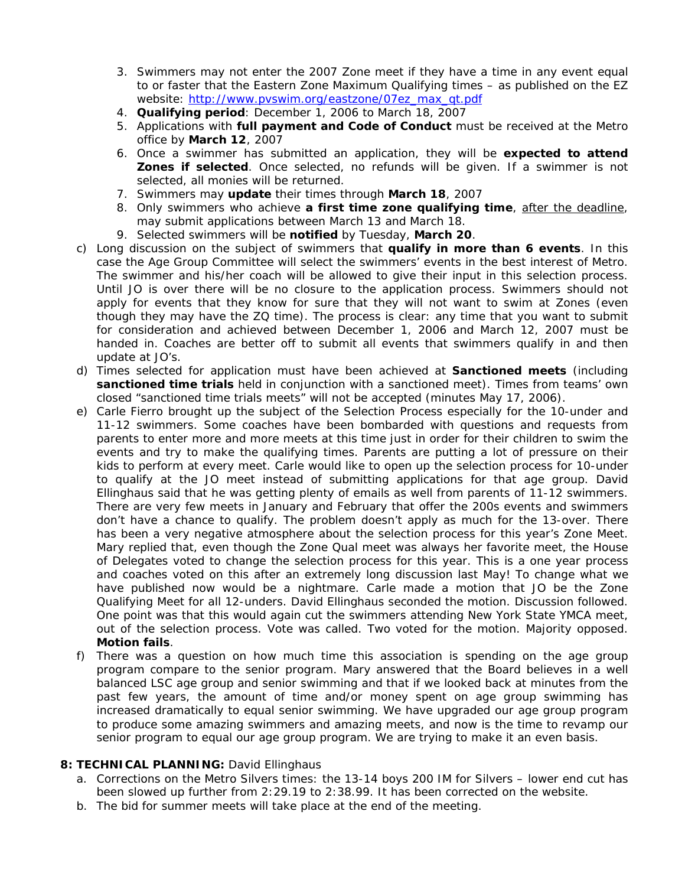- 3. Swimmers may not enter the 2007 Zone meet if they have a time in any event equal to or faster that the Eastern Zone Maximum Qualifying times – as published on the EZ website: [http://www.pvswim.org/eastzone/07ez\\_max\\_qt.pdf](http://www.pvswim.org/eastzone/07ez_max_qt.pdf)
- 4. **Qualifying period**: December 1, 2006 to March 18, 2007
- 5. Applications with **full payment and Code of Conduct** must be received at the Metro office by **March 12**, 2007
- 6. Once a swimmer has submitted an application, they will be **expected to attend Zones if selected**. Once selected, no refunds will be given. If a swimmer is not selected, all monies will be returned.
- 7. Swimmers may **update** their times through **March 18**, 2007
- 8. Only swimmers who achieve **a first time zone qualifying time**, after the deadline, may submit applications between March 13 and March 18.
- 9. Selected swimmers will be **notified** by Tuesday, **March 20**.
- c) Long discussion on the subject of swimmers that **qualify in more than 6 events**. In this case the Age Group Committee will select the swimmers' events in the best interest of Metro. The swimmer and his/her coach will be allowed to give their input in this selection process. Until JO is over there will be no closure to the application process. Swimmers should not apply for events that they know for sure that they will not want to swim at Zones (even though they may have the ZQ time). The process is clear: any time that you want to submit for consideration and achieved between December 1, 2006 and March 12, 2007 must be handed in. Coaches are better off to submit all events that swimmers qualify in and then update at JO's.
- d) Times selected for application must have been achieved at **Sanctioned meets** (including **sanctioned time trials** held in conjunction with a sanctioned meet). Times from teams' own closed "sanctioned time trials meets" will not be accepted (minutes May 17, 2006).
- e) Carle Fierro brought up the subject of the Selection Process especially for the 10-under and 11-12 swimmers. Some coaches have been bombarded with questions and requests from parents to enter more and more meets at this time just in order for their children to swim the events and try to make the qualifying times. Parents are putting a lot of pressure on their kids to perform at every meet. Carle would like to open up the selection process for 10-under to qualify at the JO meet instead of submitting applications for that age group. David Ellinghaus said that he was getting plenty of emails as well from parents of 11-12 swimmers. There are very few meets in January and February that offer the 200s events and swimmers don't have a chance to qualify. The problem doesn't apply as much for the 13-over. There has been a very negative atmosphere about the selection process for this year's Zone Meet. Mary replied that, even though the Zone Qual meet was always her favorite meet, the House of Delegates voted to change the selection process for this year. This is a one year process and coaches voted on this after an extremely long discussion last May! To change what we have published now would be a nightmare. Carle made a motion that JO be the Zone Qualifying Meet for all 12-unders. David Ellinghaus seconded the motion. Discussion followed. One point was that this would again cut the swimmers attending New York State YMCA meet, out of the selection process. Vote was called. Two voted for the motion. Majority opposed. **Motion fails**.
- f) There was a question on how much time this association is spending on the age group program compare to the senior program. Mary answered that the Board believes in a well balanced LSC age group and senior swimming and that if we looked back at minutes from the past few years, the amount of time and/or money spent on age group swimming has increased dramatically to equal senior swimming. We have upgraded our age group program to produce some amazing swimmers and amazing meets, and now is the time to revamp our senior program to equal our age group program. We are trying to make it an even basis.

#### **8: TECHNICAL PLANNING:** David Ellinghaus

- a. Corrections on the Metro Silvers times: the 13-14 boys 200 IM for Silvers lower end cut has been slowed up further from 2:29.19 to 2:38.99. It has been corrected on the website.
- b. The bid for summer meets will take place at the end of the meeting.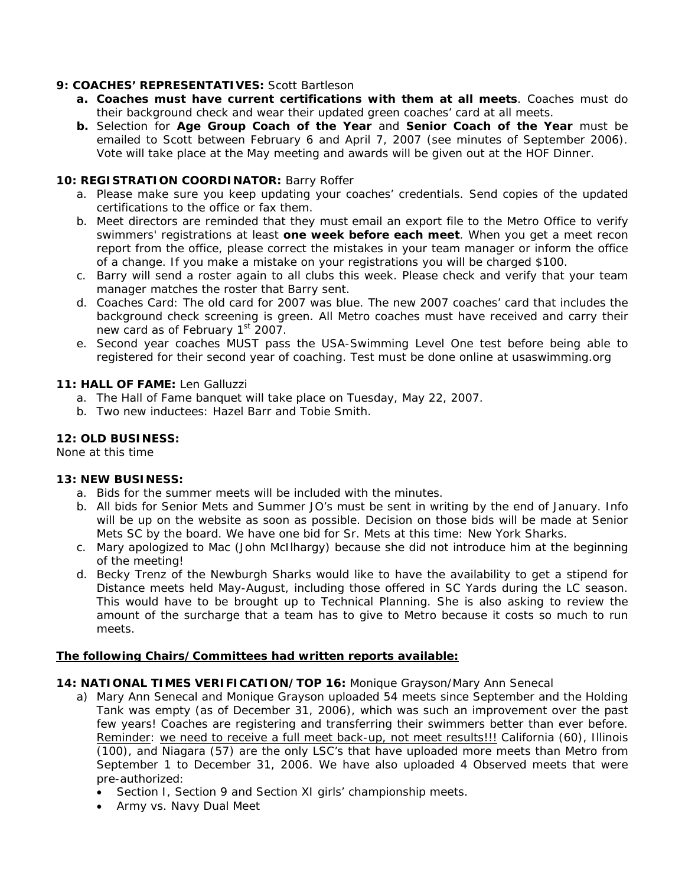# **9: COACHES' REPRESENTATIVES:** Scott Bartleson

- **a. Coaches must have current certifications with them at all meets**. Coaches must do their background check and wear their updated green coaches' card at all meets.
- **b.** Selection for **Age Group Coach of the Year** and **Senior Coach of the Year** must be emailed to Scott between February 6 and April 7, 2007 (see minutes of September 2006). Vote will take place at the May meeting and awards will be given out at the HOF Dinner.

# **10: REGISTRATION COORDINATOR:** Barry Roffer

- a. Please make sure you keep updating your coaches' credentials. Send copies of the updated certifications to the office or fax them.
- b. Meet directors are reminded that they must email an export file to the Metro Office to verify swimmers' registrations at least **one week before each meet**. When you get a meet recon report from the office, please correct the mistakes in your team manager or inform the office of a change. If you make a mistake on your registrations you will be charged \$100.
- c. Barry will send a roster again to all clubs this week. Please check and verify that your team manager matches the roster that Barry sent.
- d. Coaches Card: The old card for 2007 was blue. The new 2007 coaches' card that includes the background check screening is green. All Metro coaches must have received and carry their new card as of February 1<sup>st</sup> 2007.
- e. Second year coaches MUST pass the USA-Swimming Level One test before being able to registered for their second year of coaching. Test must be done online at usaswimming.org

#### **11: HALL OF FAME:** Len Galluzzi

- a. The Hall of Fame banquet will take place on Tuesday, May 22, 2007.
- b. Two new inductees: Hazel Barr and Tobie Smith.

# **12: OLD BUSINESS:**

None at this time

#### **13: NEW BUSINESS:**

- a. Bids for the summer meets will be included with the minutes.
- b. All bids for Senior Mets and Summer JO's must be sent in writing by the end of January. Info will be up on the website as soon as possible. Decision on those bids will be made at Senior Mets SC by the board. We have one bid for Sr. Mets at this time: New York Sharks.
- c. Mary apologized to Mac (John McIlhargy) because she did not introduce him at the beginning of the meeting!
- d. Becky Trenz of the Newburgh Sharks would like to have the availability to get a stipend for Distance meets held May-August, including those offered in SC Yards during the LC season. This would have to be brought up to Technical Planning. She is also asking to review the amount of the surcharge that a team has to give to Metro because it costs so much to run meets.

#### **The following Chairs/Committees had written reports available:**

#### **14: NATIONAL TIMES VERIFICATION/TOP 16:** Monique Grayson/Mary Ann Senecal

- a) Mary Ann Senecal and Monique Grayson uploaded 54 meets since September and the Holding Tank was empty (as of December 31, 2006), which was such an improvement over the past few years! Coaches are registering and transferring their swimmers better than ever before. Reminder: we need to receive a full meet back-up, not meet results!!! California (60), Illinois (100), and Niagara (57) are the only LSC's that have uploaded more meets than Metro from September 1 to December 31, 2006. We have also uploaded 4 Observed meets that were pre-authorized:
	- Section I, Section 9 and Section XI girls' championship meets.
	- Army vs. Navy Dual Meet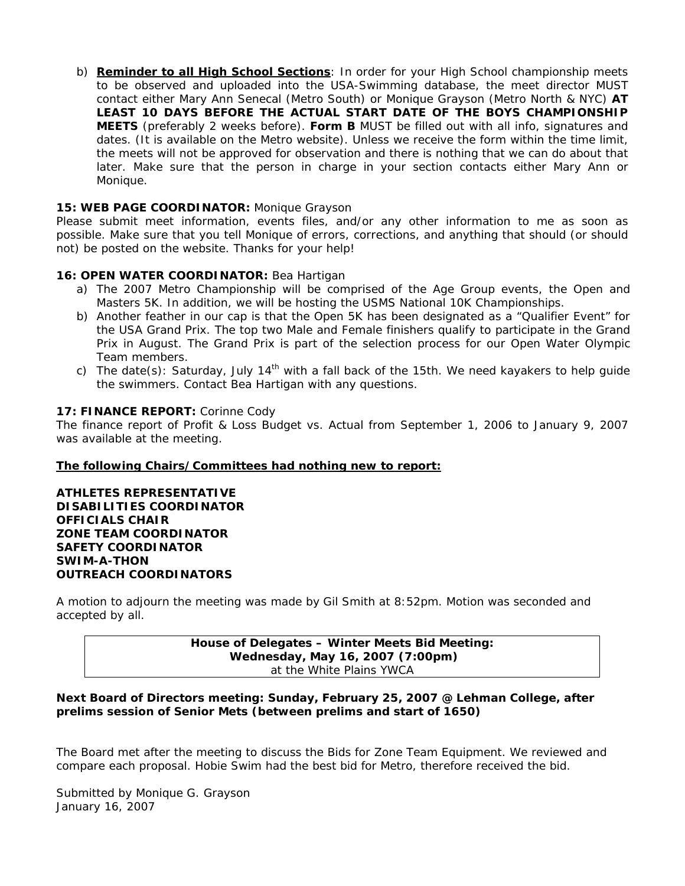b) **Reminder to all High School Sections**: In order for your High School championship meets to be observed and uploaded into the USA-Swimming database, the meet director MUST contact either Mary Ann Senecal (Metro South) or Monique Grayson (Metro North & NYC) **AT LEAST 10 DAYS BEFORE THE ACTUAL START DATE OF THE BOYS CHAMPIONSHIP MEETS** (preferably 2 weeks before). **Form B** MUST be filled out with all info, signatures and dates. (It is available on the Metro website). Unless we receive the form within the time limit, the meets will not be approved for observation and there is nothing that we can do about that later. Make sure that the person in charge in your section contacts either Mary Ann or Monique.

#### **15: WEB PAGE COORDINATOR:** Monique Grayson

Please submit meet information, events files, and/or any other information to me as soon as possible. Make sure that you tell Monique of errors, corrections, and anything that should (or should not) be posted on the website. Thanks for your help!

# **16: OPEN WATER COORDINATOR:** Bea Hartigan

- a) The 2007 Metro Championship will be comprised of the Age Group events, the Open and Masters 5K. In addition, we will be hosting the USMS National 10K Championships.
- b) Another feather in our cap is that the Open 5K has been designated as a "Qualifier Event" for the USA Grand Prix. The top two Male and Female finishers qualify to participate in the Grand Prix in August. The Grand Prix is part of the selection process for our Open Water Olympic Team members.
- c) The date(s): Saturday, July 14<sup>th</sup> with a fall back of the 15th. We need kayakers to help guide the swimmers. Contact Bea Hartigan with any questions.

# **17: FINANCE REPORT:** Corinne Cody

The finance report of Profit & Loss Budget vs. Actual from September 1, 2006 to January 9, 2007 was available at the meeting.

#### **The following Chairs/Committees had nothing new to report:**

**ATHLETES REPRESENTATIVE DISABILITIES COORDINATOR OFFICIALS CHAIR ZONE TEAM COORDINATOR SAFETY COORDINATOR SWIM-A-THON OUTREACH COORDINATORS** 

A motion to adjourn the meeting was made by Gil Smith at 8:52pm. Motion was seconded and accepted by all.

> **House of Delegates – Winter Meets Bid Meeting: Wednesday, May 16, 2007 (7:00pm)**  at the White Plains YWCA

#### **Next Board of Directors meeting: Sunday, February 25, 2007 @ Lehman College, after prelims session of Senior Mets (between prelims and start of 1650)**

The Board met after the meeting to discuss the Bids for Zone Team Equipment. We reviewed and compare each proposal. Hobie Swim had the best bid for Metro, therefore received the bid.

Submitted by Monique G. Grayson January 16, 2007